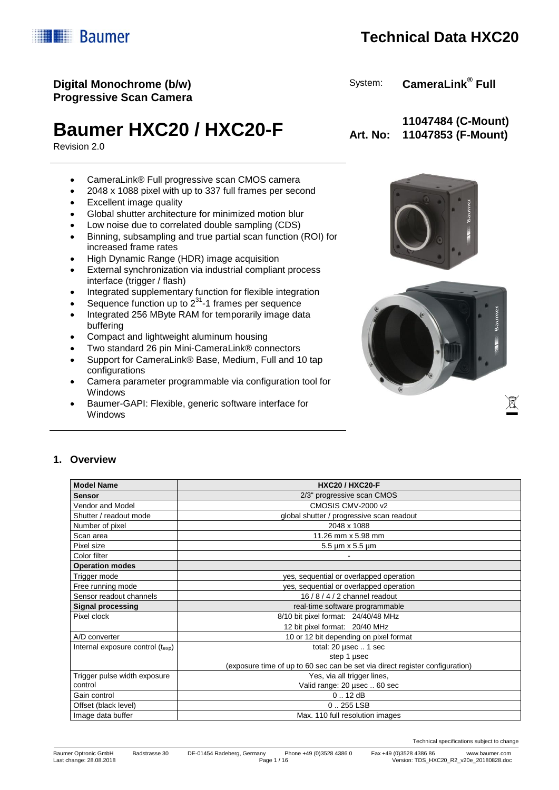Technical specifications subject to change

Last change: 28.08.2018 Page 1 / 16 Version: TDS\_HXC20\_R2\_v20e\_20180828.doc

# **Technical Data HXC20**

## **Digital Monochrome (b/w) Progressive Scan Camera**

# **Baumer HXC20 / HXC20-F** Art. No:

Revision 2.0

- CameraLink® Full progressive scan CMOS camera
- 2048 x 1088 pixel with up to 337 full frames per second
- Excellent image quality
- Global shutter architecture for minimized motion blur
- Low noise due to correlated double sampling (CDS)
- Binning, subsampling and true partial scan function (ROI) for increased frame rates
- High Dynamic Range (HDR) image acquisition
- External synchronization via industrial compliant process interface (trigger / flash)
- Integrated supplementary function for flexible integration
- Sequence function up to  $2^{31}$ -1 frames per sequence
- Integrated 256 MByte RAM for temporarily image data buffering
- Compact and lightweight aluminum housing
- Two standard 26 pin Mini-CameraLink® connectors
- Support for CameraLink® Base, Medium, Full and 10 tap configurations
- Camera parameter programmable via configuration tool for Windows
- Baumer-GAPI: Flexible, generic software interface for Windows

## **11047484 (C-Mount) 11047853 (F-Mount)**

System: **CameraLink® Full**



### **1. Overview**

| <b>Model Name</b>                         | <b>HXC20 / HXC20-F</b>                                                       |
|-------------------------------------------|------------------------------------------------------------------------------|
| <b>Sensor</b>                             | 2/3" progressive scan CMOS                                                   |
| Vendor and Model                          | CMOSIS CMV-2000 v2                                                           |
| Shutter / readout mode                    | global shutter / progressive scan readout                                    |
| Number of pixel                           | 2048 x 1088                                                                  |
| Scan area                                 | 11.26 mm x 5.98 mm                                                           |
| Pixel size                                | $5.5 \,\mathrm{\upmu m}$ x 5.5 $\mathrm{\upmu m}$                            |
| Color filter                              |                                                                              |
| <b>Operation modes</b>                    |                                                                              |
| Trigger mode                              | yes, sequential or overlapped operation                                      |
| Free running mode                         | yes, sequential or overlapped operation                                      |
| Sensor readout channels                   | 16 / 8 / 4 / 2 channel readout                                               |
| <b>Signal processing</b>                  | real-time software programmable                                              |
| Pixel clock                               | 8/10 bit pixel format: 24/40/48 MHz                                          |
|                                           | 12 bit pixel format: 20/40 MHz                                               |
| A/D converter                             | 10 or 12 bit depending on pixel format                                       |
| Internal exposure control $(t_{\rm exo})$ | total: 20 µsec  1 sec                                                        |
|                                           | step 1 µsec                                                                  |
|                                           | (exposure time of up to 60 sec can be set via direct register configuration) |
| Trigger pulse width exposure              | Yes, via all trigger lines,                                                  |
| control                                   | Valid range: 20 usec  60 sec                                                 |
| Gain control                              | 0.12 dB                                                                      |
| Offset (black level)                      | $0.255$ LSB                                                                  |
| Image data buffer                         | Max. 110 full resolution images                                              |



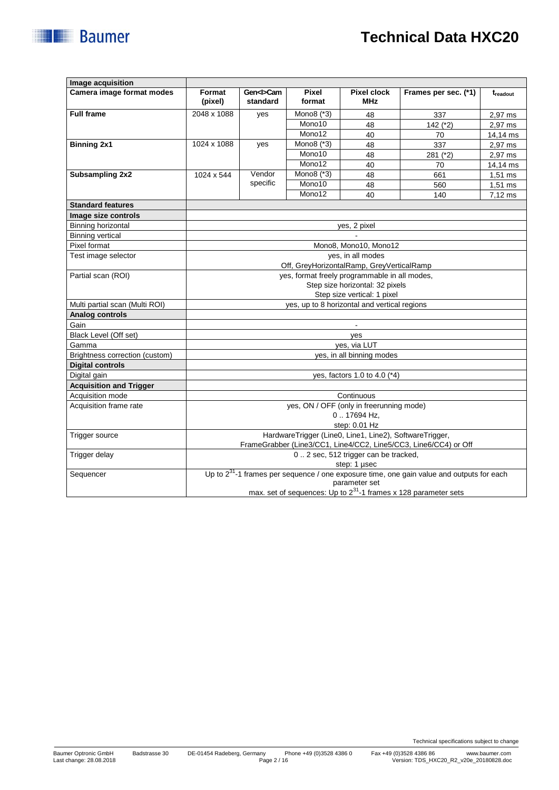| <b>Baumer</b> |  |
|---------------|--|
|               |  |

| Image acquisition              |                                              |                             |                 |                                                         |                                                                                                |           |
|--------------------------------|----------------------------------------------|-----------------------------|-----------------|---------------------------------------------------------|------------------------------------------------------------------------------------------------|-----------|
| Camera image format modes      | Format<br>(pixel)                            | Gen <i>Cam<br/>standard</i> | Pixel<br>format | <b>Pixel clock</b><br><b>MHz</b>                        | Frames per sec. (*1)                                                                           | treadout  |
| <b>Full frame</b>              | 2048 x 1088                                  | yes                         | Mono $8$ $(*3)$ | 48                                                      | 337                                                                                            | 2,97 ms   |
|                                |                                              |                             | Mono10          | 48                                                      | $142$ ( $*2$ )                                                                                 | 2,97 ms   |
|                                |                                              |                             | Mono12          | 40                                                      | 70                                                                                             | 14,14 ms  |
| <b>Binning 2x1</b>             | 1024 x 1088                                  | yes                         | Mono8 (*3)      | 48                                                      | 337                                                                                            | 2.97 ms   |
|                                |                                              |                             | Mono10          | 48                                                      | 281 (*2)                                                                                       | 2,97 ms   |
|                                |                                              |                             | Mono12          | 40                                                      | 70                                                                                             | 14,14 ms  |
| Subsampling 2x2                | 1024 x 544                                   | Vendor                      | Mono8 (*3)      | 48                                                      | 661                                                                                            | $1,51$ ms |
|                                |                                              | specific                    | Mono10          | 48                                                      | 560                                                                                            | $1,51$ ms |
|                                |                                              |                             | Mono12          | 40                                                      | 140                                                                                            | 7,12 ms   |
| <b>Standard features</b>       |                                              |                             |                 |                                                         |                                                                                                |           |
| Image size controls            |                                              |                             |                 |                                                         |                                                                                                |           |
| Binning horizontal             |                                              |                             |                 | yes, 2 pixel                                            |                                                                                                |           |
| <b>Binning vertical</b>        |                                              |                             |                 |                                                         |                                                                                                |           |
| Pixel format                   |                                              |                             |                 | Mono8, Mono10, Mono12                                   |                                                                                                |           |
| Test image selector            |                                              |                             |                 | yes, in all modes                                       |                                                                                                |           |
|                                |                                              |                             |                 | Off, GreyHorizontalRamp, GreyVerticalRamp               |                                                                                                |           |
| Partial scan (ROI)             |                                              |                             |                 | yes, format freely programmable in all modes,           |                                                                                                |           |
|                                | Step size horizontal: 32 pixels              |                             |                 |                                                         |                                                                                                |           |
|                                | Step size vertical: 1 pixel                  |                             |                 |                                                         |                                                                                                |           |
| Multi partial scan (Multi ROI) | yes, up to 8 horizontal and vertical regions |                             |                 |                                                         |                                                                                                |           |
| Analog controls                |                                              |                             |                 |                                                         |                                                                                                |           |
| Gain                           |                                              |                             |                 |                                                         |                                                                                                |           |
| Black Level (Off set)          | yes                                          |                             |                 |                                                         |                                                                                                |           |
| Gamma                          | ves, via LUT                                 |                             |                 |                                                         |                                                                                                |           |
| Brightness correction (custom) | yes, in all binning modes                    |                             |                 |                                                         |                                                                                                |           |
| <b>Digital controls</b>        |                                              |                             |                 |                                                         |                                                                                                |           |
| Digital gain                   | yes, factors 1.0 to 4.0 (*4)                 |                             |                 |                                                         |                                                                                                |           |
| <b>Acquisition and Trigger</b> |                                              |                             |                 |                                                         |                                                                                                |           |
| Acquisition mode               | Continuous                                   |                             |                 |                                                         |                                                                                                |           |
| Acquisition frame rate         | yes, ON / OFF (only in freerunning mode)     |                             |                 |                                                         |                                                                                                |           |
|                                | 017694 Hz,                                   |                             |                 |                                                         |                                                                                                |           |
|                                |                                              |                             |                 | step: 0.01 Hz                                           |                                                                                                |           |
| Trigger source                 |                                              |                             |                 | HardwareTrigger (Line0, Line1, Line2), SoftwareTrigger, |                                                                                                |           |
|                                |                                              |                             |                 |                                                         | FrameGrabber (Line3/CC1, Line4/CC2, Line5/CC3, Line6/CC4) or Off                               |           |
| Trigger delay                  |                                              |                             |                 | 0. 2 sec, 512 trigger can be tracked,                   |                                                                                                |           |
|                                |                                              |                             |                 | step: 1 µsec                                            |                                                                                                |           |
| Sequencer                      |                                              |                             |                 |                                                         | Up to $2^{31}$ -1 frames per sequence / one exposure time, one gain value and outputs for each |           |
|                                |                                              |                             |                 | parameter set                                           |                                                                                                |           |
|                                |                                              |                             |                 |                                                         | max. set of sequences: Up to 2 <sup>31</sup> -1 frames x 128 parameter sets                    |           |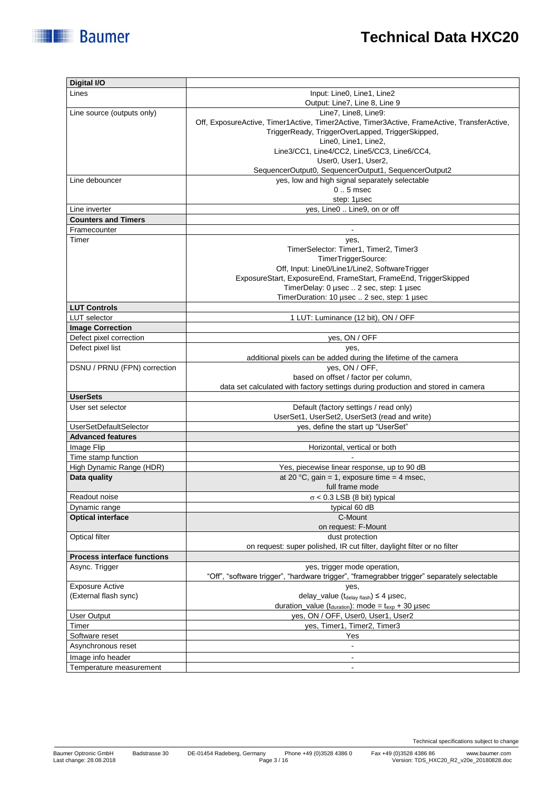| Digital I/O                        |                                                                                                                                                 |
|------------------------------------|-------------------------------------------------------------------------------------------------------------------------------------------------|
| Lines                              | Input: Line0, Line1, Line2                                                                                                                      |
|                                    | Output: Line7, Line 8, Line 9                                                                                                                   |
| Line source (outputs only)         | Line7, Line8, Line9:                                                                                                                            |
|                                    | Off, ExposureActive, Timer1Active, Timer2Active, Timer3Active, FrameActive, TransferActive,<br>TriggerReady, TriggerOverLapped, TriggerSkipped, |
|                                    | Line0, Line1, Line2,                                                                                                                            |
|                                    | Line3/CC1, Line4/CC2, Line5/CC3, Line6/CC4,                                                                                                     |
|                                    | User0, User1, User2,                                                                                                                            |
|                                    | SequencerOutput0, SequencerOutput1, SequencerOutput2                                                                                            |
| Line debouncer                     | yes, low and high signal separately selectable                                                                                                  |
|                                    | $0.5$ msec                                                                                                                                      |
|                                    | step: 1µsec                                                                                                                                     |
| Line inverter                      | yes, Line0  Line9, on or off                                                                                                                    |
| <b>Counters and Timers</b>         |                                                                                                                                                 |
| Framecounter                       | $\blacksquare$                                                                                                                                  |
| Timer                              | yes,                                                                                                                                            |
|                                    | TimerSelector: Timer1, Timer2, Timer3                                                                                                           |
|                                    | TimerTriggerSource:                                                                                                                             |
|                                    | Off, Input: Line0/Line1/Line2, SoftwareTrigger                                                                                                  |
|                                    | ExposureStart, ExposureEnd, FrameStart, FrameEnd, TriggerSkipped                                                                                |
|                                    | TimerDelay: 0 µsec  2 sec, step: 1 µsec                                                                                                         |
|                                    | TimerDuration: 10 usec  2 sec, step: 1 usec                                                                                                     |
| <b>LUT Controls</b>                |                                                                                                                                                 |
| <b>LUT</b> selector                | 1 LUT: Luminance (12 bit), ON / OFF                                                                                                             |
| <b>Image Correction</b>            |                                                                                                                                                 |
| Defect pixel correction            | yes, ON / OFF                                                                                                                                   |
| Defect pixel list                  | yes,                                                                                                                                            |
|                                    | additional pixels can be added during the lifetime of the camera                                                                                |
| DSNU / PRNU (FPN) correction       | yes, ON / OFF,                                                                                                                                  |
|                                    | based on offset / factor per column,<br>data set calculated with factory settings during production and stored in camera                        |
| <b>UserSets</b>                    |                                                                                                                                                 |
| User set selector                  | Default (factory settings / read only)                                                                                                          |
|                                    | UserSet1, UserSet2, UserSet3 (read and write)                                                                                                   |
| UserSetDefaultSelector             | yes, define the start up "UserSet"                                                                                                              |
| <b>Advanced features</b>           |                                                                                                                                                 |
| Image Flip                         | Horizontal, vertical or both                                                                                                                    |
| Time stamp function                |                                                                                                                                                 |
| High Dynamic Range (HDR)           | Yes, piecewise linear response, up to 90 dB                                                                                                     |
| Data quality                       | at 20 °C, gain = 1, exposure time = 4 msec,                                                                                                     |
|                                    | full frame mode                                                                                                                                 |
| Readout noise                      | $\sigma$ < 0.3 LSB (8 bit) typical                                                                                                              |
| Dynamic range                      | typical 60 dB                                                                                                                                   |
| <b>Optical interface</b>           | C-Mount                                                                                                                                         |
|                                    | on request: F-Mount                                                                                                                             |
| Optical filter                     | dust protection                                                                                                                                 |
|                                    | on request: super polished, IR cut filter, daylight filter or no filter                                                                         |
| <b>Process interface functions</b> |                                                                                                                                                 |
| Async. Trigger                     | yes, trigger mode operation,                                                                                                                    |
|                                    | "Off", "software trigger", "hardware trigger", "framegrabber trigger" separately selectable                                                     |
| <b>Exposure Active</b>             | yes,                                                                                                                                            |
| (External flash sync)              | delay_value $(t_{delay \, flash}) \leq 4$ µsec,                                                                                                 |
|                                    | duration_value ( $t_{\text{duration}}$ ): mode = $t_{\text{exp}}$ + 30 µsec                                                                     |
| User Output                        | yes, ON / OFF, User0, User1, User2                                                                                                              |
| Timer                              | yes, Timer1, Timer2, Timer3                                                                                                                     |
| Software reset                     | Yes                                                                                                                                             |
| Asynchronous reset                 | ä,                                                                                                                                              |
| Image info header                  | $\blacksquare$                                                                                                                                  |
| Temperature measurement            | $\blacksquare$                                                                                                                                  |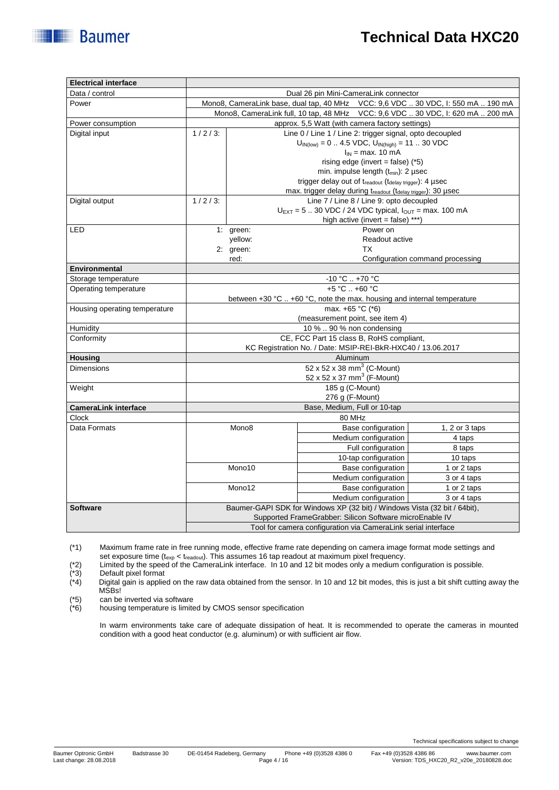| Data / control                       | Dual 26 pin Mini-CameraLink connector                                             |                                                                                     |                                                          |                                          |                                                                        |  |
|--------------------------------------|-----------------------------------------------------------------------------------|-------------------------------------------------------------------------------------|----------------------------------------------------------|------------------------------------------|------------------------------------------------------------------------|--|
| Power                                | Mono8, CameraLink base, dual tap, 40 MHz VCC: 9,6 VDC  30 VDC, I: 550 mA  190 mA  |                                                                                     |                                                          |                                          |                                                                        |  |
|                                      | Mono8, CameraLink full, 10 tap, 48 MHz    VCC: 9,6 VDC  30 VDC, I: 620 mA  200 mA |                                                                                     |                                                          |                                          |                                                                        |  |
| Power consumption                    |                                                                                   | approx. 5,5 Watt (with camera factory settings)                                     |                                                          |                                          |                                                                        |  |
| Digital input                        | $1/2/3$ :                                                                         |                                                                                     | Line 0 / Line 1 / Line 2: trigger signal, opto decoupled |                                          |                                                                        |  |
|                                      |                                                                                   | $U_{IN(low)} = 0$ 4.5 VDC, $U_{IN(high)} = 11$ 30 VDC                               |                                                          |                                          |                                                                        |  |
|                                      |                                                                                   |                                                                                     |                                                          | $I_{IN}$ = max. 10 mA                    |                                                                        |  |
|                                      | rising edge (invert = false) $(*5)$                                               |                                                                                     |                                                          |                                          |                                                                        |  |
|                                      |                                                                                   | min. impulse length (t <sub>min</sub> ): 2 µsec                                     |                                                          |                                          |                                                                        |  |
|                                      |                                                                                   | trigger delay out of treadout (tdelay trigger): 4 µsec                              |                                                          |                                          |                                                                        |  |
|                                      |                                                                                   | max. trigger delay during treadout (tdelay trigger): 30 µsec                        |                                                          |                                          |                                                                        |  |
| Digital output                       | $\frac{1}{1}$ / 2 / 3:                                                            |                                                                                     |                                                          | Line 7 / Line 8 / Line 9: opto decoupled |                                                                        |  |
|                                      |                                                                                   | $U_{\text{EXT}} = 5$ 30 VDC / 24 VDC typical, $I_{\text{OUT}} = \text{max. 100 mA}$ |                                                          |                                          |                                                                        |  |
|                                      |                                                                                   |                                                                                     |                                                          | high active (invert = false) ***)        |                                                                        |  |
| LED                                  |                                                                                   | 1: green:                                                                           |                                                          | Power on                                 |                                                                        |  |
|                                      |                                                                                   | yellow:                                                                             |                                                          | Readout active                           |                                                                        |  |
|                                      |                                                                                   | 2: green:                                                                           |                                                          | ТX                                       |                                                                        |  |
|                                      |                                                                                   | red:                                                                                |                                                          |                                          | Configuration command processing                                       |  |
| <b>Environmental</b>                 |                                                                                   |                                                                                     |                                                          |                                          |                                                                        |  |
| Storage temperature                  | $-10 °C$ +70 °C                                                                   |                                                                                     |                                                          |                                          |                                                                        |  |
| Operating temperature                | +5 °C  +60 °C                                                                     |                                                                                     |                                                          |                                          |                                                                        |  |
|                                      |                                                                                   |                                                                                     |                                                          |                                          | between +30 °C  +60 °C, note the max. housing and internal temperature |  |
| Housing operating temperature        | max. +65 °C (*6)                                                                  |                                                                                     |                                                          |                                          |                                                                        |  |
|                                      | (measurement point, see item 4)                                                   |                                                                                     |                                                          |                                          |                                                                        |  |
| Humidity                             | 10 %  90 % non condensing                                                         |                                                                                     |                                                          |                                          |                                                                        |  |
| Conformity                           | CE, FCC Part 15 class B, RoHS compliant,                                          |                                                                                     |                                                          |                                          |                                                                        |  |
|                                      | KC Registration No. / Date: MSIP-REI-BkR-HXC40 / 13.06.2017                       |                                                                                     |                                                          |                                          |                                                                        |  |
| Housing                              | Aluminum                                                                          |                                                                                     |                                                          |                                          |                                                                        |  |
| <b>Dimensions</b>                    | 52 x 52 x 38 mm <sup>3</sup> (C-Mount)                                            |                                                                                     |                                                          |                                          |                                                                        |  |
|                                      | 52 x 52 x 37 mm <sup>3</sup> (F-Mount)                                            |                                                                                     |                                                          |                                          |                                                                        |  |
| Weight                               | 185 g (C-Mount)                                                                   |                                                                                     |                                                          |                                          |                                                                        |  |
|                                      | 276 g (F-Mount)                                                                   |                                                                                     |                                                          |                                          |                                                                        |  |
| <b>CameraLink interface</b><br>Clock | Base, Medium, Full or 10-tap<br>80 MHz                                            |                                                                                     |                                                          |                                          |                                                                        |  |
| Data Formats                         |                                                                                   | Mono <sub>8</sub>                                                                   |                                                          | Base configuration                       | 1, 2 or 3 taps                                                         |  |
|                                      |                                                                                   |                                                                                     |                                                          | Medium configuration                     |                                                                        |  |
|                                      |                                                                                   |                                                                                     |                                                          | Full configuration                       | 4 taps                                                                 |  |
|                                      |                                                                                   |                                                                                     |                                                          |                                          | 8 taps                                                                 |  |
|                                      |                                                                                   |                                                                                     |                                                          | 10-tap configuration                     | 10 taps                                                                |  |
|                                      |                                                                                   | Mono10                                                                              |                                                          | Base configuration                       | 1 or 2 taps                                                            |  |
|                                      |                                                                                   |                                                                                     |                                                          | Medium configuration                     | 3 or 4 taps                                                            |  |
|                                      |                                                                                   | Mono12                                                                              |                                                          | Base configuration                       | 1 or 2 taps                                                            |  |
|                                      |                                                                                   |                                                                                     |                                                          | Medium configuration                     | 3 or 4 taps                                                            |  |
| <b>Software</b>                      | Baumer-GAPI SDK for Windows XP (32 bit) / Windows Vista (32 bit / 64bit),         |                                                                                     |                                                          |                                          |                                                                        |  |
|                                      | Supported FrameGrabber: Silicon Software microEnable IV                           |                                                                                     |                                                          |                                          |                                                                        |  |
|                                      | Tool for camera configuration via CameraLink serial interface                     |                                                                                     |                                                          |                                          |                                                                        |  |

(\*1) Maximum frame rate in free running mode, effective frame rate depending on camera image format mode settings and set exposure time (t<sub>exp</sub> < t<sub>readout</sub>). This assumes 16 tap readout at maximum pixel frequency.

Default pixel format

**Electrical interface**

**Baumer** 

(\*2) Limited by the speed of the CameraLink interface. In 10 and 12 bit modes only a medium configuration is possible.<br>(\*3) Default pixel format<br>(\*4) Digital gain is applied on the raw data obtained from the sensor. In 10 Digital gain is applied on the raw data obtained from the sensor. In 10 and 12 bit modes, this is just a bit shift cutting away the MSBs!

 $(*5)$  can be inverted via software<br> $(*6)$  housing temperature is limite

housing temperature is limited by CMOS sensor specification

In warm environments take care of adequate dissipation of heat. It is recommended to operate the cameras in mounted condition with a good heat conductor (e.g. aluminum) or with sufficient air flow.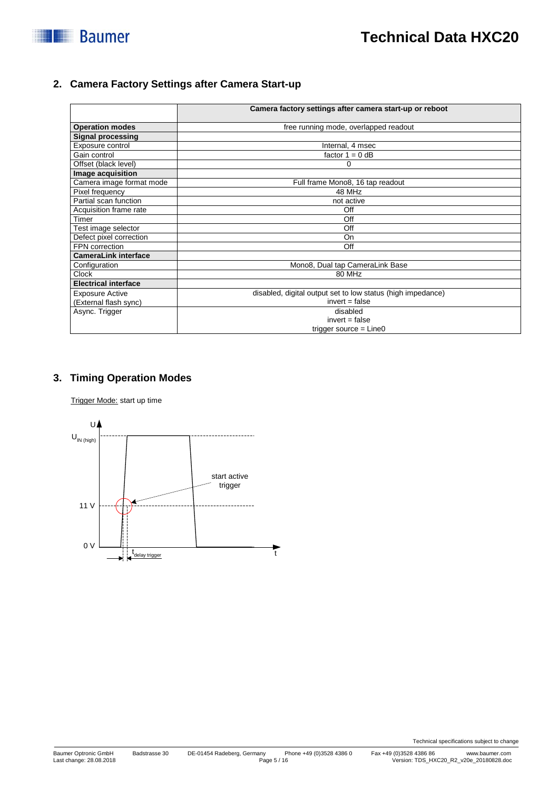

## **2. Camera Factory Settings after Camera Start-up**

|                             | Camera factory settings after camera start-up or reboot     |
|-----------------------------|-------------------------------------------------------------|
| <b>Operation modes</b>      | free running mode, overlapped readout                       |
| <b>Signal processing</b>    |                                                             |
| Exposure control            | Internal, 4 msec                                            |
| Gain control                | factor $1 = 0$ dB                                           |
| Offset (black level)        | 0                                                           |
| Image acquisition           |                                                             |
| Camera image format mode    | Full frame Mono8, 16 tap readout                            |
| Pixel frequency             | 48 MHz                                                      |
| Partial scan function       | not active                                                  |
| Acquisition frame rate      | Off                                                         |
| Timer                       | Off                                                         |
| Test image selector         | Off                                                         |
| Defect pixel correction     | <b>On</b>                                                   |
| FPN correction              | Off                                                         |
| <b>CameraLink interface</b> |                                                             |
| Configuration               | Mono8, Dual tap CameraLink Base                             |
| Clock                       | 80 MHz                                                      |
| <b>Electrical interface</b> |                                                             |
| <b>Exposure Active</b>      | disabled, digital output set to low status (high impedance) |
| (External flash sync)       | $invert = false$                                            |
| Async. Trigger              | disabled                                                    |
|                             | $invert = false$                                            |
|                             | trigger source $=$ Line0                                    |

### **3. Timing Operation Modes**

Trigger Mode: start up time

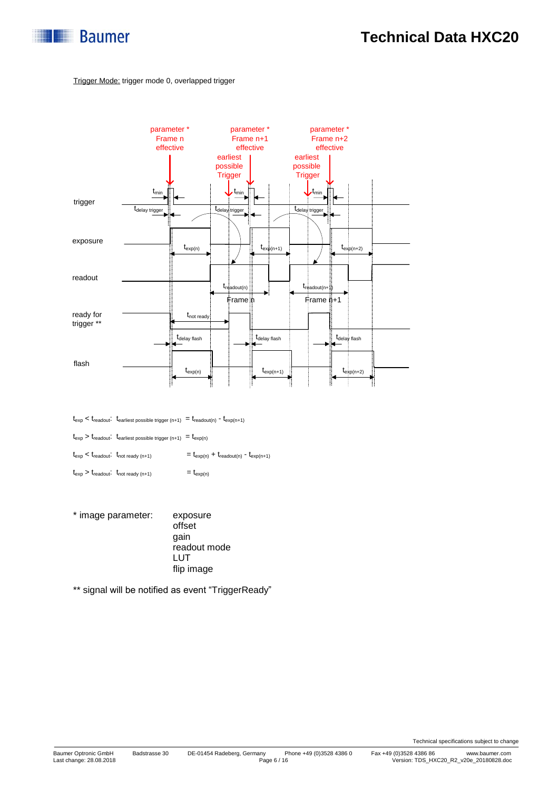

#### Trigger Mode: trigger mode 0, overlapped trigger



 $t_{\rm exp} < t_{\rm readout} \cdot t_{\rm earliest\ possible\ trigger\ (n+1)} \ = t_{\rm readout(n)} \ - t_{\rm exp(n+1)}$ 

 $t_{\text{exp}} > t_{\text{readout}}$ :  $t_{\text{earliest possible trigger (n+1)}} = t_{\text{exp(n)}}$ 

 $t_{\text{exp}} < t_{\text{readout}}$ :  $t_{\text{not ready (n+1)}}$  =  $t_{\text{exp(n)}} + t_{\text{readout(n)}}$  -  $t_{\text{exp(n+1)}}$ 

- $t_{\exp} > t_{\text{readout}}$ :  $t_{\text{not ready (n+1)}}$  =  $t_{\exp(n)}$
- \* image parameter: exposure offset gain readout mode LUT flip image

\*\* signal will be notified as event "TriggerReady"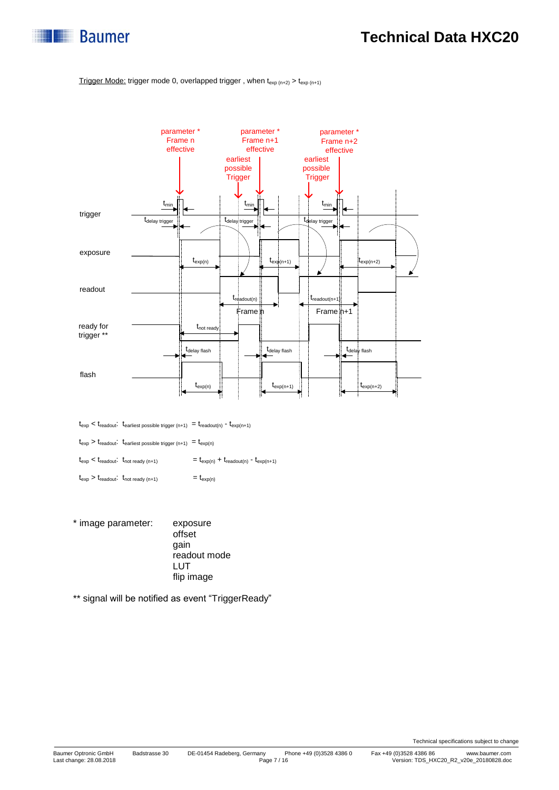

#### Trigger Mode: trigger mode 0, overlapped trigger, when  $t_{exp(n+2)} > t_{exp(n+1)}$



 $t_{\text{exp}} < t_{\text{readout}}$ :  $t_{\text{earliest possible trigger (n+1)}} = t_{\text{readout(n)}} - t_{\text{exp(n+1)}}$ 

 $t_{\text{exp}} > t_{\text{readout}}$ .  $t_{\text{earliest possible trigger (n+1)}} = t_{\text{exp}(n)}$ 

 $t_{\text{exp}} < t_{\text{readout}}$ :  $t_{\text{not ready (n+1)}}$  =  $t_{\text{exp(n)}} + t_{\text{readout(n)}}$  -  $t_{\text{exp(n+1)}}$ 

 $t_{\exp} > t_{\text{readout}}$ :  $t_{\text{not ready (n+1)}}$  =  $t_{\exp(n)}$ 

\* image parameter: exposure offset gain readout mode LUT flip image

\*\* signal will be notified as event "TriggerReady"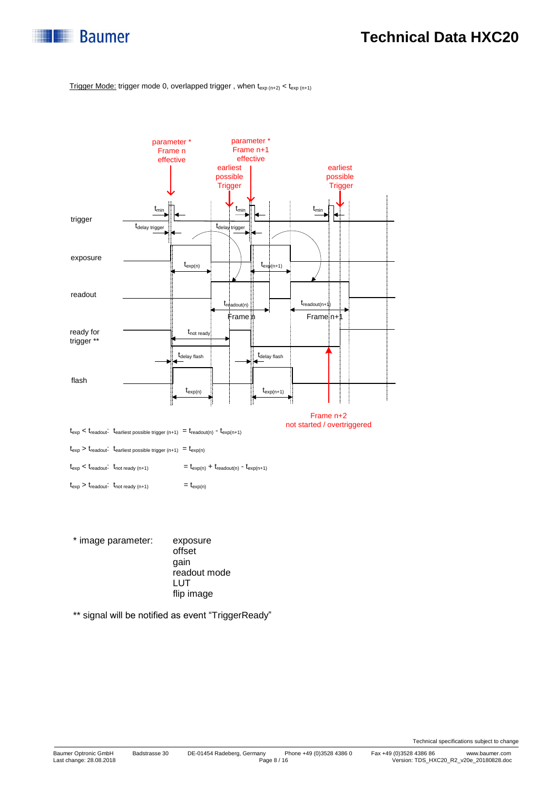

Trigger Mode: trigger mode 0, overlapped trigger, when  $t_{exp(n+2)} < t_{exp(n+1)}$ 



\* image parameter: exposure offset gain readout mode LUT flip image

\*\* signal will be notified as event "TriggerReady"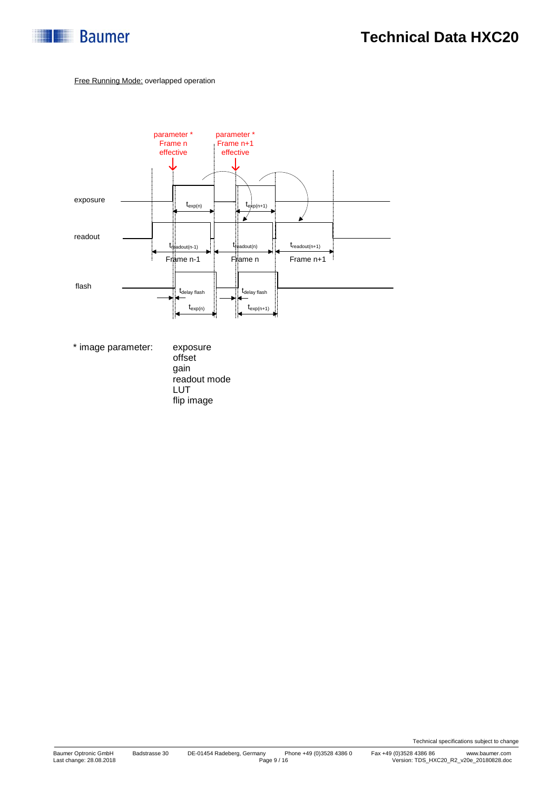

#### Free Running Mode: overlapped operation



\* image parameter: exposure

offset gain readout mode LUT flip image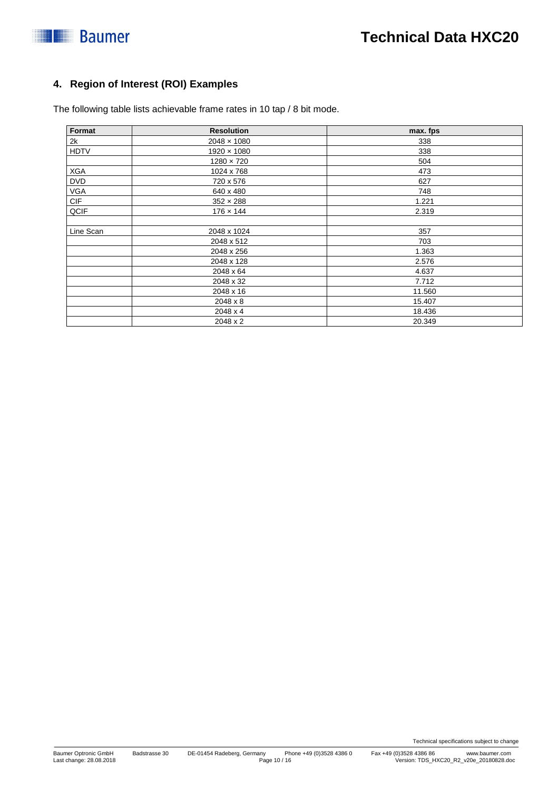## **4. Region of Interest (ROI) Examples**

The following table lists achievable frame rates in 10 tap / 8 bit mode.

| Format      | <b>Resolution</b>  | max. fps |  |  |
|-------------|--------------------|----------|--|--|
| 2k          | $2048 \times 1080$ | 338      |  |  |
| <b>HDTV</b> | $1920 \times 1080$ | 338      |  |  |
|             | $1280 \times 720$  | 504      |  |  |
| <b>XGA</b>  | 1024 x 768         | 473      |  |  |
| <b>DVD</b>  | 720 x 576          | 627      |  |  |
| <b>VGA</b>  | 640 x 480          | 748      |  |  |
| CIF         | $352 \times 288$   | 1.221    |  |  |
| QCIF        | $176 \times 144$   | 2.319    |  |  |
|             |                    |          |  |  |
| Line Scan   | 2048 x 1024        | 357      |  |  |
|             | 2048 x 512         | 703      |  |  |
|             | 2048 x 256         | 1.363    |  |  |
|             | 2048 x 128         | 2.576    |  |  |
|             | 2048 x 64          | 4.637    |  |  |
|             | 2048 x 32          | 7.712    |  |  |
|             | 2048 x 16          | 11.560   |  |  |
|             | 2048 x 8           | 15.407   |  |  |
|             | 2048 x 4           | 18.436   |  |  |
|             | 2048 x 2           | 20.349   |  |  |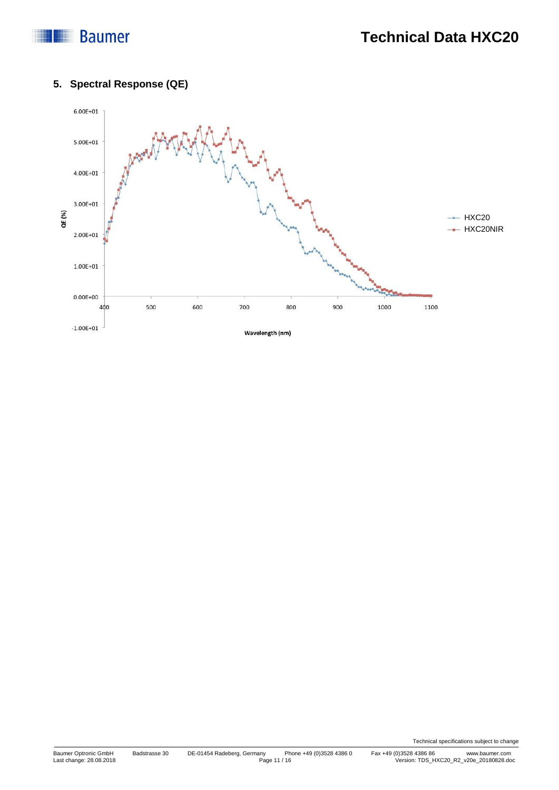## **Baumer**

## **5. Spectral Response (QE)**

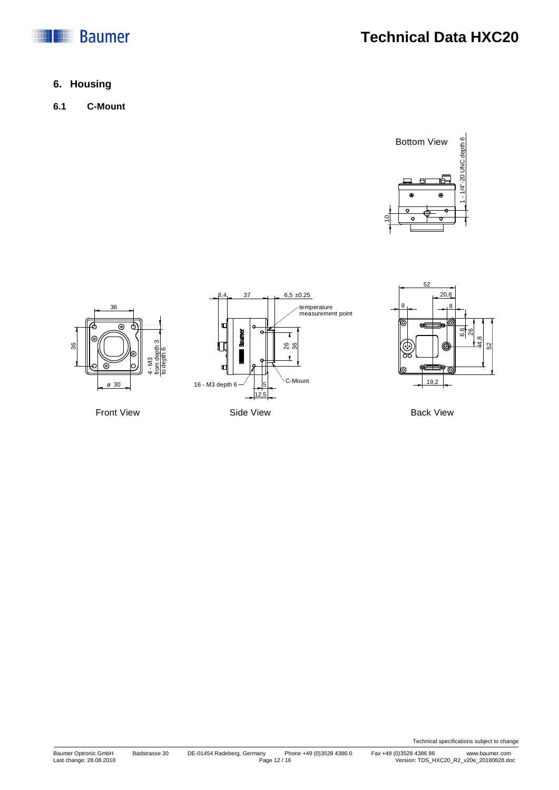



### **6. Housing**

**6.1 C-Mount**







Back View

Technical specifications subject to change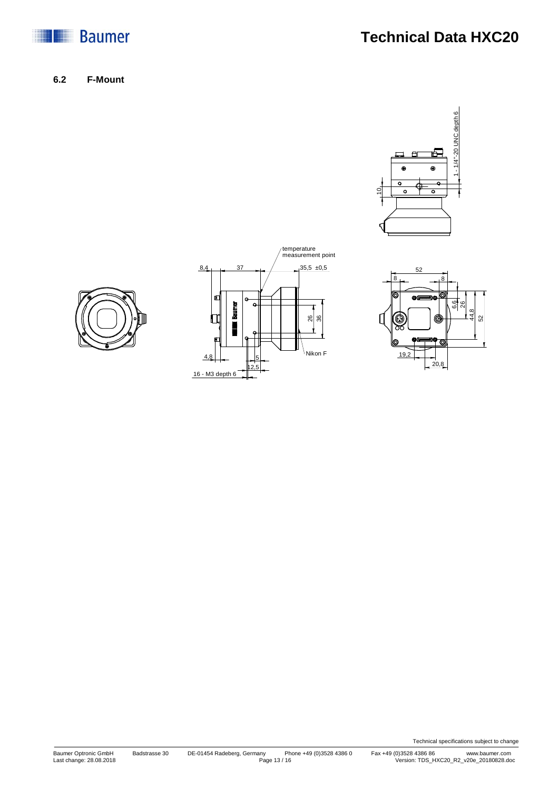

**Technical Data HXC20**

**6.2 F-Mount**







Technical specifications subject to change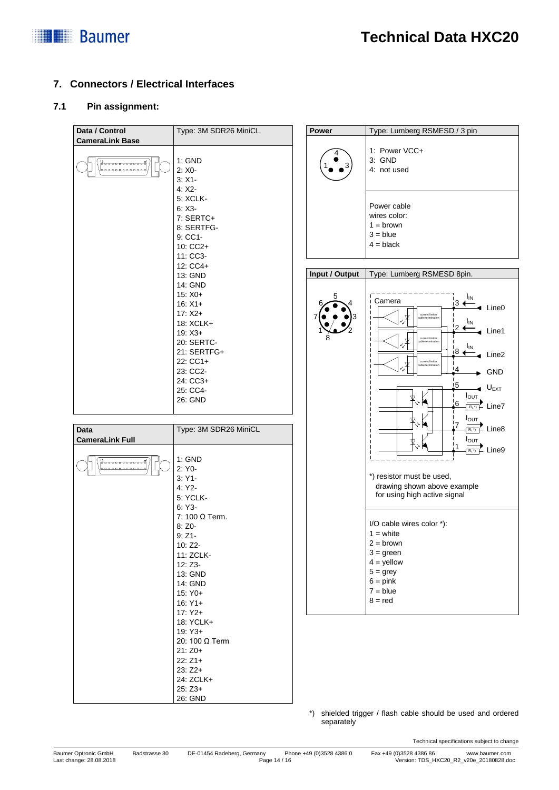

### **7. Connectors / Electrical Interfaces**

#### **7.1 Pin assignment:**

| Data / Control                      | Type: 3M SDR26 MiniCL     | Power          | Type: Lumberg RSMESD / 3 pin                                |
|-------------------------------------|---------------------------|----------------|-------------------------------------------------------------|
| <b>CameraLink Base</b>              |                           |                |                                                             |
|                                     |                           |                | 1: Power VCC+                                               |
| 13<br> อายายของออกอย <sup>ิ</sup> ย | 1: GND                    |                | 3: GND                                                      |
| 0.00000000                          | $2: X0 -$                 |                | 4: not used                                                 |
|                                     | $3: X1 -$<br>$4:X2-$      |                |                                                             |
|                                     | <b>5: XCLK-</b>           |                |                                                             |
|                                     | $6: X3-$                  |                | Power cable                                                 |
|                                     | 7: SERTC+                 |                | wires color:                                                |
|                                     | 8: SERTFG-                |                | $1 = brown$                                                 |
|                                     | 9: CC1-                   |                | $3 = blue$                                                  |
|                                     | 10: CC2+                  |                | $4 = black$                                                 |
|                                     | 11: CC3-                  |                |                                                             |
|                                     | 12: CC4+                  |                |                                                             |
|                                     | 13: GND                   | Input / Output | Type: Lumberg RSMESD 8pin.                                  |
|                                     | 14: GND<br>$15: X0+$      |                |                                                             |
|                                     | $16: X1+$                 |                | I <sub>IN</sub><br>Camera<br>i3 ←                           |
|                                     | $17: X2+$                 |                | $\triangleleft$ Line0<br>current limiter                    |
|                                     | 18: XCLK+                 |                | ΙıΝ                                                         |
|                                     | $19: X3+$                 |                | Line1                                                       |
|                                     | 20: SERTC-                |                | current limite                                              |
|                                     | 21: SERTFG+               |                | <b>I</b> <sub>IN</sub><br>i8 ∢<br>Line2                     |
|                                     | 22: CC1+                  |                | current limite                                              |
|                                     | 23: CC2-                  |                | !4<br>GND                                                   |
|                                     | 24: CC3+                  |                | $\frac{15}{2}$<br>$\triangleleft$ U <sub>EXT</sub>          |
|                                     | 25: CC4-                  |                | $I_{\text{OUT}}$                                            |
|                                     | 26: GND                   |                | 6<br>$\overline{R_1^*T_1^*}$ Line7                          |
|                                     |                           |                | Ι <sub>Ουτ</sub>                                            |
| <b>Data</b>                         | Type: 3M SDR26 MiniCL     |                | 7<br>$\frac{1}{\mathbb{R}^{n}}$ Line8                       |
| <b>CameraLink Full</b>              |                           |                | $I_{\text{OUT}}$                                            |
|                                     |                           |                | $\overline{\phantom{a}}$ Line9<br>$R_L$ <sup>*</sup> )      |
|                                     | 1: GND                    |                |                                                             |
|                                     | 2: Y0-                    |                |                                                             |
|                                     | $3:Y1-$                   |                | *) resistor must be used,                                   |
|                                     | 4: Y2                     |                | drawing shown above example<br>for using high active signal |
|                                     | 5: YCLK-                  |                |                                                             |
|                                     | $6:Y3-$<br>7: 100 Ω Term. |                |                                                             |
|                                     | $8:Z0-$                   |                | I/O cable wires color *):                                   |
|                                     | $9:Z1-$                   |                | $1 =$ white                                                 |
|                                     | 10: Z2-                   |                | $2 = brown$                                                 |
|                                     | 11: ZCLK-                 |                | $3 = green$                                                 |
|                                     | 12: Z3-                   |                | $4 =$ yellow                                                |
|                                     | 13: GND                   |                | $5 =$ grey                                                  |
|                                     | 14: GND                   |                | $6 = pink$                                                  |
|                                     | $15: Y0+$                 |                | $7 = blue$<br>$8 = red$                                     |
|                                     | $16:Y1+$                  |                |                                                             |
|                                     | $17:Y2+$<br>18: YCLK+     |                |                                                             |
|                                     | $19:Y3+$                  |                |                                                             |
|                                     | 20: 100 Ω Term            |                |                                                             |
|                                     | $21:Z0+$                  |                |                                                             |
|                                     | $22:Z1+$                  |                |                                                             |
|                                     | $23:Z2+$                  |                |                                                             |
|                                     | 24: ZCLK+                 |                |                                                             |
|                                     | $25:Z3+$                  |                |                                                             |
|                                     | 26: GND                   |                |                                                             |

\*) shielded trigger / flash cable should be used and ordered separately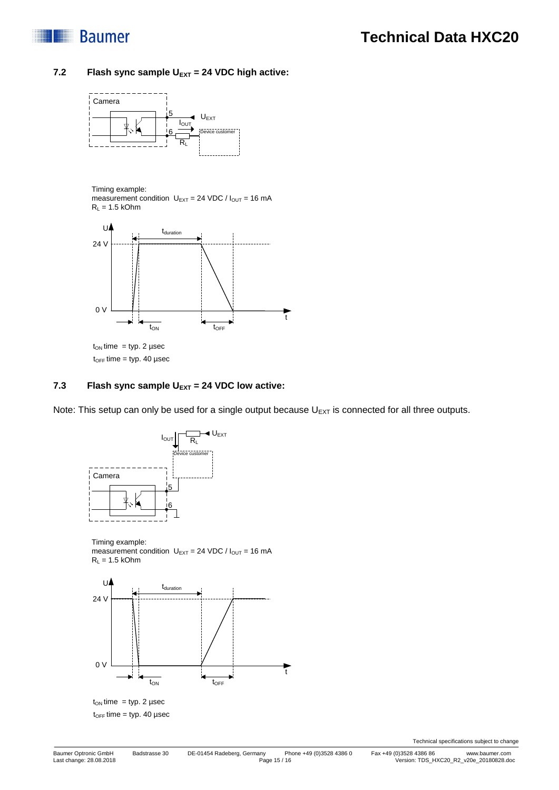

#### 7.2 **Flash sync sample U<sub>EXT</sub> = 24 VDC high active:**



Timing example:

measurement condition  $U_{\text{EXT}} = 24 \text{ VDC} / I_{\text{OUT}} = 16 \text{ mA}$  $R_L = 1.5$  kOhm



 $t_{OFF}$  time = typ. 40 µsec

#### **7.3 Flash sync sample UEXT = 24 VDC low active:**

Note: This setup can only be used for a single output because  $U_{EXT}$  is connected for all three outputs.



Timing example: measurement condition  $U_{\text{EXT}} = 24 \text{ VDC} / I_{\text{OUT}} = 16 \text{ mA}$  $R_L = 1.5$  kOhm



 $t_{OFF}$  time = typ. 40 µsec